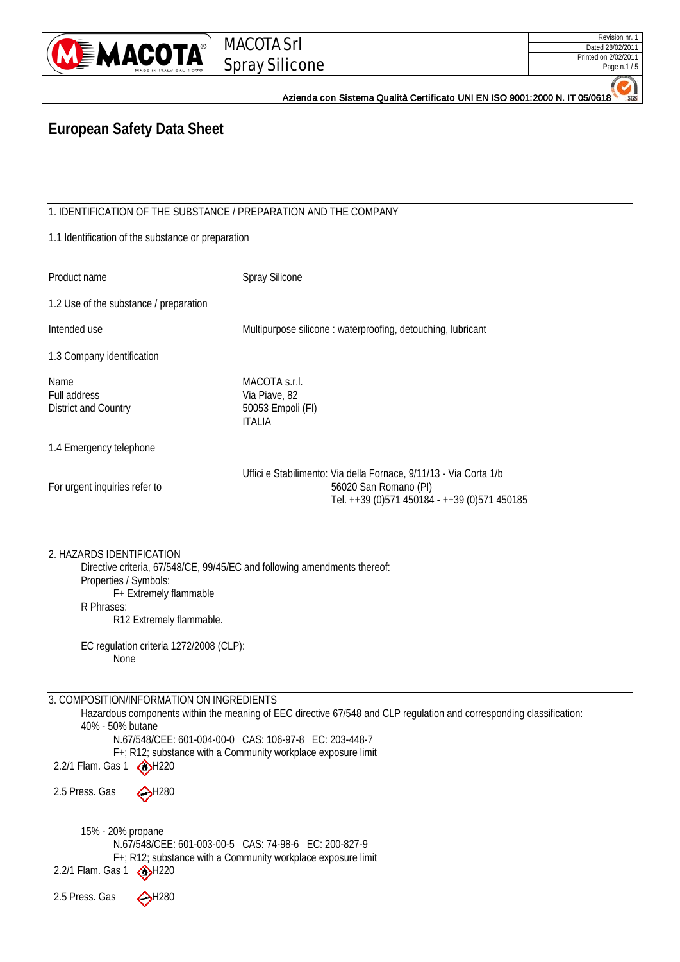

| Revision nr. 1       |
|----------------------|
| Dated 28/02/2011     |
| Printed on 2/02/2011 |
| Page n.1 / 5         |

Azienda con Sistema Qualità Certificato UNI EN ISO 9001:2000 N. IT 05/0618

## **European Safety Data Sheet**

1. IDENTIFICATION OF THE SUBSTANCE / PREPARATION AND THE COMPANY

|  |  | 1.1 Identification of the substance or preparation |  |  |  |  |
|--|--|----------------------------------------------------|--|--|--|--|
|--|--|----------------------------------------------------|--|--|--|--|

| Product name                                 | <b>Spray Silicone</b>                                                                                                                      |
|----------------------------------------------|--------------------------------------------------------------------------------------------------------------------------------------------|
| 1.2 Use of the substance / preparation       |                                                                                                                                            |
| Intended use                                 | Multipurpose silicone: waterproofing, detouching, lubricant                                                                                |
| 1.3 Company identification                   |                                                                                                                                            |
| Name<br>Full address<br>District and Country | MACOTA s.r.l.<br>Via Piave, 82<br>50053 Empoli (FI)<br><b>ITALIA</b>                                                                       |
| 1.4 Emergency telephone                      |                                                                                                                                            |
| For urgent inquiries refer to                | Uffici e Stabilimento: Via della Fornace, 9/11/13 - Via Corta 1/b<br>56020 San Romano (PI)<br>Tel. ++39 (0)571 450184 - ++39 (0)571 450185 |

| 2. HAZARDS IDENTIFICATION             |  |
|---------------------------------------|--|
| Diroctivo critoria 67/5/8/CE 00/15/EC |  |

Directive criteria, 67/548/CE, 99/45/EC and following amendments thereof: Properties / Symbols: F+ Extremely flammable R Phrases: R12 Extremely flammable.

EC regulation criteria 1272/2008 (CLP): None

3. COMPOSITION/INFORMATION ON INGREDIENTS

Hazardous components within the meaning of EEC directive 67/548 and CLP regulation and corresponding classification: 40% - 50% butane N.67/548/CEE: 601-004-00-0 CAS: 106-97-8 EC: 203-448-7

F+; R12; substance with a Community workplace exposure limit

2.2/1 Flam. Gas  $1 \bigotimes H$ 220

2.5 Press. Gas  $\bigodot$ H280

15% - 20% propane N.67/548/CEE: 601-003-00-5 CAS: 74-98-6 EC: 200-827-9 F+; R12; substance with a Community workplace exposure limit 2.2/1 Flam. Gas  $1 \circledcirc$ H220

2.5 Press. Gas  $\leftrightarrow$ H280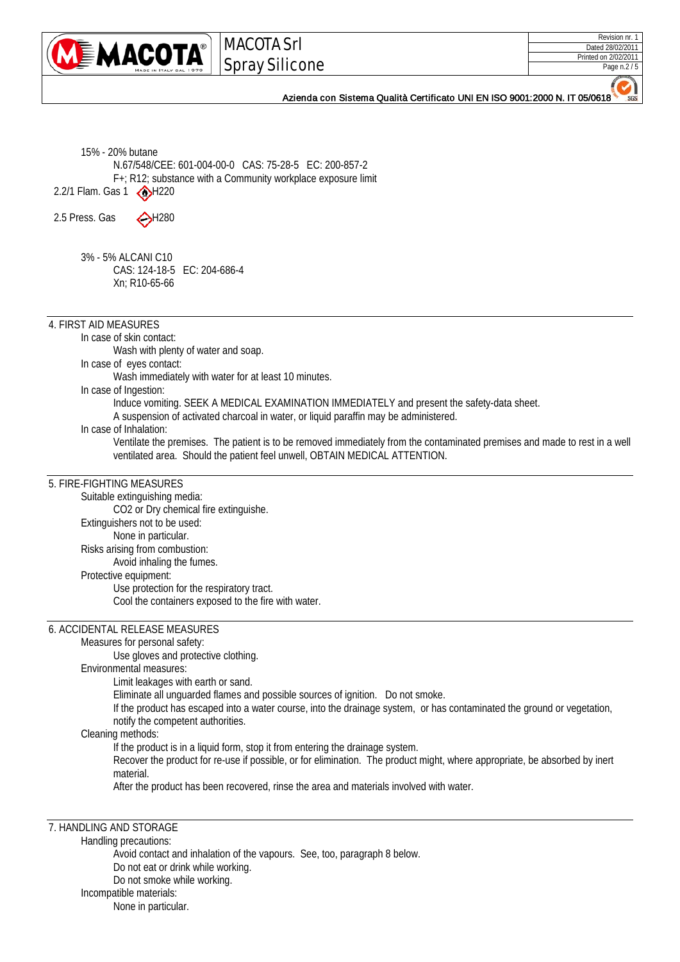

MACOTA Srl Spray Silicone

| Revision nr. 1       |
|----------------------|
| Dated 28/02/2011     |
| Printed on 2/02/2011 |
| Page n.2 / 5         |

 $SGS$ 

## Azienda con Sistema Qualità Certificato UNI EN ISO 9001:2000 N. IT 05/0618

| 15% - 20% butane                                                                                                                                                                                             |
|--------------------------------------------------------------------------------------------------------------------------------------------------------------------------------------------------------------|
| N.67/548/CEE: 601-004-00-0 CAS: 75-28-5 EC: 200-857-2                                                                                                                                                        |
| F+; R12; substance with a Community workplace exposure limit                                                                                                                                                 |
| 2.2/1 Flam. Gas 1<br>$\bigcirc$ H220                                                                                                                                                                         |
| $\bigodot$ H280<br>2.5 Press. Gas                                                                                                                                                                            |
|                                                                                                                                                                                                              |
|                                                                                                                                                                                                              |
| 3% - 5% ALCANI C10                                                                                                                                                                                           |
| CAS: 124-18-5 EC: 204-686-4                                                                                                                                                                                  |
| Xn; R10-65-66                                                                                                                                                                                                |
|                                                                                                                                                                                                              |
| 4. FIRST AID MEASURES                                                                                                                                                                                        |
| In case of skin contact:                                                                                                                                                                                     |
| Wash with plenty of water and soap.                                                                                                                                                                          |
| In case of eyes contact:                                                                                                                                                                                     |
| Wash immediately with water for at least 10 minutes.                                                                                                                                                         |
| In case of Ingestion:                                                                                                                                                                                        |
| Induce vomiting. SEEK A MEDICAL EXAMINATION IMMEDIATELY and present the safety-data sheet.                                                                                                                   |
| A suspension of activated charcoal in water, or liquid paraffin may be administered.                                                                                                                         |
| In case of Inhalation:                                                                                                                                                                                       |
| Ventilate the premises. The patient is to be removed immediately from the contaminated premises and made to rest in a well                                                                                   |
| ventilated area. Should the patient feel unwell, OBTAIN MEDICAL ATTENTION.                                                                                                                                   |
| 5. FIRE-FIGHTING MEASURES                                                                                                                                                                                    |
| Suitable extinguishing media:                                                                                                                                                                                |
| CO2 or Dry chemical fire extinguishe.                                                                                                                                                                        |
| Extinguishers not to be used:                                                                                                                                                                                |
| None in particular.                                                                                                                                                                                          |
| Risks arising from combustion:                                                                                                                                                                               |
| Avoid inhaling the fumes.                                                                                                                                                                                    |
| Protective equipment:                                                                                                                                                                                        |
| Use protection for the respiratory tract.<br>Cool the containers exposed to the fire with water.                                                                                                             |
|                                                                                                                                                                                                              |
| 6. ACCIDENTAL RELEASE MEASURES                                                                                                                                                                               |
| Measures for personal safety:                                                                                                                                                                                |
| Use gloves and protective clothing.                                                                                                                                                                          |
| Environmental measures:                                                                                                                                                                                      |
| Limit leakages with earth or sand.                                                                                                                                                                           |
| Eliminate all unguarded flames and possible sources of ignition. Do not smoke.                                                                                                                               |
| If the product has escaped into a water course, into the drainage system, or has contaminated the ground or vegetation,                                                                                      |
| notify the competent authorities.                                                                                                                                                                            |
| Cleaning methods:                                                                                                                                                                                            |
| If the product is in a liquid form, stop it from entering the drainage system.<br>Recover the product for re-use if possible, or for elimination. The product might, where appropriate, be absorbed by inert |
| material.                                                                                                                                                                                                    |
| After the product has been recovered, rinse the area and materials involved with water.                                                                                                                      |
|                                                                                                                                                                                                              |
|                                                                                                                                                                                                              |
| 7. HANDLING AND STORAGE                                                                                                                                                                                      |
| Handling precautions:                                                                                                                                                                                        |
| Avoid contact and inhalation of the vapours. See, too, paragraph 8 below.                                                                                                                                    |
| Do not eat or drink while working.                                                                                                                                                                           |
| Do not smoke while working.                                                                                                                                                                                  |
| Incompatible materials:                                                                                                                                                                                      |
| None in particular.                                                                                                                                                                                          |
|                                                                                                                                                                                                              |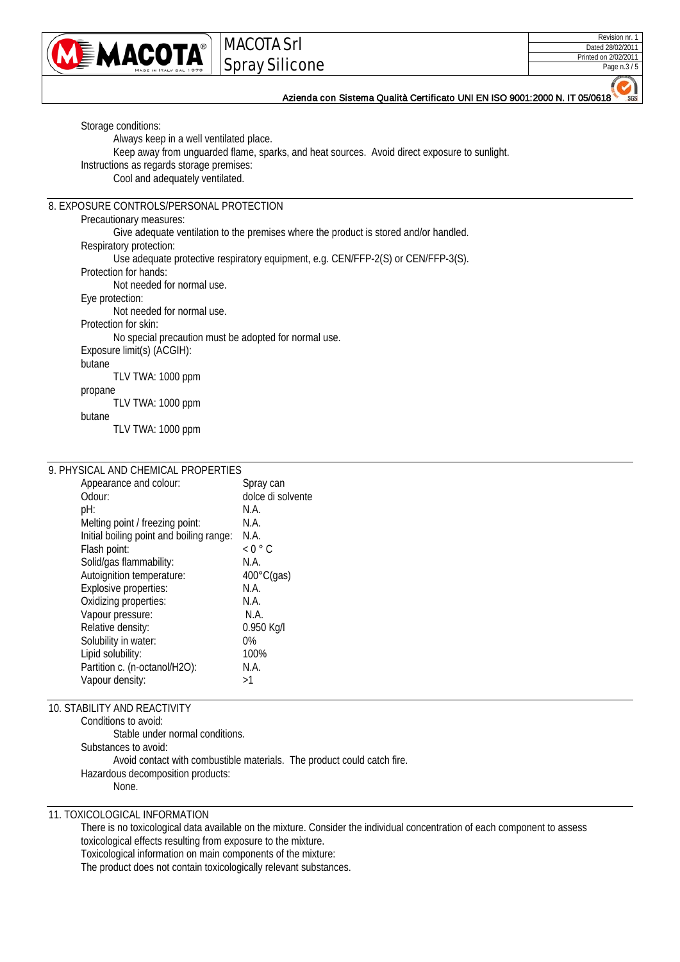

# MACOTA Srl Spray Silicone

| Revision nr. 1       |
|----------------------|
| Dated 28/02/2011     |
| Printed on 2/02/2011 |
| Page n.3 / 5         |

Azienda con Sistema Qualità Certificato UNI EN ISO 9001:2000 N. IT 05/0618

Storage conditions: Always keep in a well ventilated place. Keep away from unguarded flame, sparks, and heat sources. Avoid direct exposure to sunlight. Instructions as regards storage premises: Cool and adequately ventilated. 8. EXPOSURE CONTROLS/PERSONAL PROTECTION Precautionary measures: Give adequate ventilation to the premises where the product is stored and/or handled. Respiratory protection: Use adequate protective respiratory equipment, e.g. CEN/FFP-2(S) or CEN/FFP-3(S). Protection for hands: Not needed for normal use. Eye protection: Not needed for normal use. Protection for skin: No special precaution must be adopted for normal use. Exposure limit(s) (ACGIH): butane TLV TWA: 1000 ppm propane TLV TWA: 1000 ppm butane TLV TWA: 1000 ppm

## 9. PHYSICAL AND CHEMICAL PROPERTIES

| Appearance and colour:                   | Spray can            |
|------------------------------------------|----------------------|
| Odour:                                   | dolce di solvente    |
| pH:                                      | N.A.                 |
| Melting point / freezing point:          | N.A.                 |
| Initial boiling point and boiling range: | N.A.                 |
| Flash point:                             | $< 0$ $^{\circ}$ C   |
| Solid/gas flammability:                  | N.A.                 |
| Autoignition temperature:                | $400^{\circ}$ C(gas) |
| Explosive properties:                    | N.A.                 |
| Oxidizing properties:                    | N.A.                 |
| Vapour pressure:                         | N.A.                 |
| Relative density:                        | 0.950 Kg/l           |
| Solubility in water:                     | $0\%$                |
| Lipid solubility:                        | 100%                 |
| Partition c. (n-octanol/H2O):            | N.A.                 |
| Vapour density:                          | >1                   |
|                                          |                      |

## 10. STABILITY AND REACTIVITY

Conditions to avoid: Stable under normal conditions. Substances to avoid: Avoid contact with combustible materials. The product could catch fire. Hazardous decomposition products: None.

### 11. TOXICOLOGICAL INFORMATION

There is no toxicological data available on the mixture. Consider the individual concentration of each component to assess toxicological effects resulting from exposure to the mixture.

Toxicological information on main components of the mixture:

The product does not contain toxicologically relevant substances.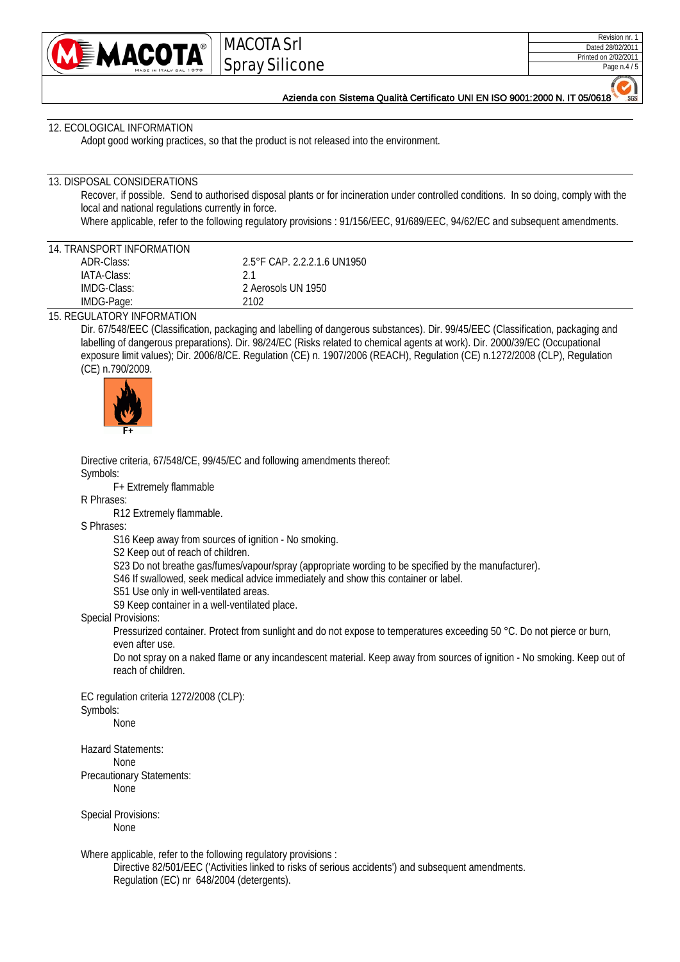

MACOTA Srl Spray Silicone

 $SGS$ 

Azienda con Sistema Qualità Certificato UNI EN ISO 9001:2000 N. IT 05/0618

#### 12. ECOLOGICAL INFORMATION

Adopt good working practices, so that the product is not released into the environment.

#### 13. DISPOSAL CONSIDERATIONS

Recover, if possible. Send to authorised disposal plants or for incineration under controlled conditions. In so doing, comply with the local and national regulations currently in force.

Where applicable, refer to the following regulatory provisions : 91/156/EEC, 91/689/EEC, 94/62/EC and subsequent amendments.

#### 14. TRANSPORT INFORMATION

| ADR-Class:  | 2.5°F CAP. 2.2.2.1.6 UN1950 |
|-------------|-----------------------------|
| IATA-Class: | 21                          |
| IMDG-Class: | 2 Aerosols UN 1950          |
| IMDG-Page:  | 2102                        |

#### 15. REGULATORY INFORMATION

Dir. 67/548/EEC (Classification, packaging and labelling of dangerous substances). Dir. 99/45/EEC (Classification, packaging and labelling of dangerous preparations). Dir. 98/24/EC (Risks related to chemical agents at work). Dir. 2000/39/EC (Occupational exposure limit values); Dir. 2006/8/CE. Regulation (CE) n. 1907/2006 (REACH), Regulation (CE) n.1272/2008 (CLP), Regulation (CE) n.790/2009.



Directive criteria, 67/548/CE, 99/45/EC and following amendments thereof: Symbols:

F+ Extremely flammable

R Phrases:

R12 Extremely flammable.

S Phrases:

S16 Keep away from sources of ignition - No smoking.

S2 Keep out of reach of children.

S23 Do not breathe gas/fumes/vapour/spray (appropriate wording to be specified by the manufacturer).

S46 If swallowed, seek medical advice immediately and show this container or label.

S51 Use only in well-ventilated areas.

S9 Keep container in a well-ventilated place.

Special Provisions:

Pressurized container. Protect from sunlight and do not expose to temperatures exceeding 50 °C. Do not pierce or burn, even after use.

Do not spray on a naked flame or any incandescent material. Keep away from sources of ignition - No smoking. Keep out of reach of children.

EC regulation criteria 1272/2008 (CLP): Symbols:

None

Hazard Statements: None Precautionary Statements: None

Special Provisions: None

Where applicable, refer to the following regulatory provisions :

Directive 82/501/EEC ('Activities linked to risks of serious accidents') and subsequent amendments. Regulation (EC) nr 648/2004 (detergents).